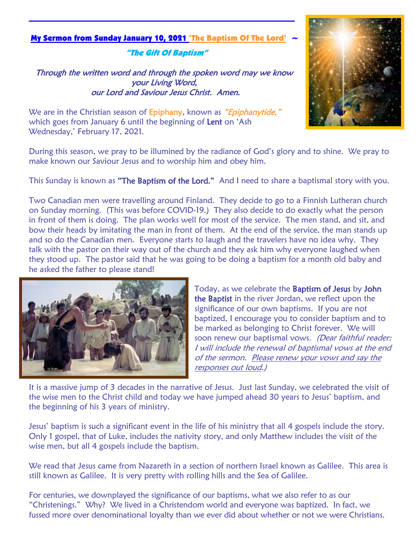#### My Sermon from Sunday January 10, 2021 'The Baptism Of The Lord' <sup>~</sup>

"The Gift Of Baptism"

Through the written word and through the spoken word may we know your Living Word, our Lord and Saviour Jesus Christ. Amen.



We are in the Christian season of Epiphany, known as "Epiphanytide," which goes from January 6 until the beginning of Lent on 'Ash Wednesday,' February 17, 2021.

During this season, we pray to be illumined by the radiance of God's glory and to shine. We pray to make known our Saviour Jesus and to worship him and obey him.

This Sunday is known as "The Baptism of the Lord." And I need to share a baptismal story with you.

Two Canadian men were travelling around Finland. They decide to go to a Finnish Lutheran church on Sunday morning. (This was before COVID-19.) They also decide to do exactly what the person in front of them is doing. The plan works well for most of the service. The men stand, and sit, and bow their heads by imitating the man in front of them. At the end of the service, the man stands up and so do the Canadian men. Everyone starts to laugh and the travelers have no idea why. They talk with the pastor on their way out of the church and they ask him why everyone laughed when they stood up. The pastor said that he was going to be doing a baptism for a month old baby and he asked the father to please stand!



Today, as we celebrate the Baptism of Jesus by John the Baptist in the river Jordan, we reflect upon the significance of our own baptisms. If you are not baptized, I encourage you to consider baptism and to be marked as belonging to Christ forever. We will soon renew our baptismal vows. (Dear faithful reader: I will include the renewal of baptismal vows at the end of the sermon. Please renew your vows and say the responses out loud.)

It is a massive jump of 3 decades in the narrative of Jesus. Just last Sunday, we celebrated the visit of the wise men to the Christ child and today we have jumped ahead 30 years to Jesus' baptism, and the beginning of his 3 years of ministry.

Jesus' baptism is such a significant event in the life of his ministry that all 4 gospels include the story. Only 1 gospel, that of Luke, includes the nativity story, and only Matthew includes the visit of the wise men, but all 4 gospels include the baptism.

We read that Jesus came from Nazareth in a section of northern Israel known as Galilee. This area is still known as Galilee. It is very pretty with rolling hills and the Sea of Galilee.

For centuries, we downplayed the significance of our baptisms, what we also refer to as our "Christenings." Why? We lived in a Christendom world and everyone was baptized. In fact, we fussed more over denominational loyalty than we ever did about whether or not we were Christians.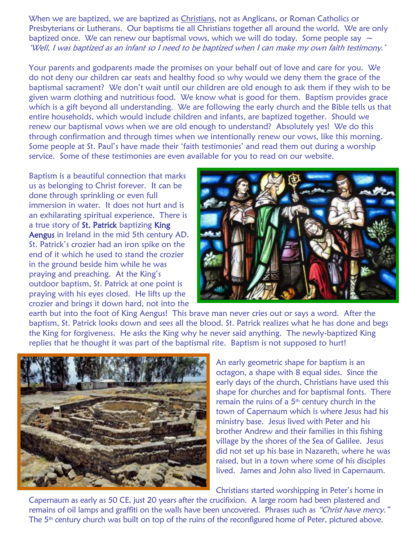When we are baptized, we are baptized as Christians, not as Anglicans, or Roman Catholics or Presbyterians or Lutherans. Our baptisms tie all Christians together all around the world. We are only baptized once. We can renew our baptismal vows, which we will do today. Some people say  $\sim$ 'Well, I was baptized as an infant so I need to be baptized when I can make my own faith testimony.'

Your parents and godparents made the promises on your behalf out of love and care for you. We do not deny our children car seats and healthy food so why would we deny them the grace of the baptismal sacrament? We don't wait until our children are old enough to ask them if they wish to be given warm clothing and nutritious food. We know what is good for them. Baptism provides grace which is a gift beyond all understanding. We are following the early church and the Bible tells us that entire households, which would include children and infants, are baptized together. Should we renew our baptismal vows when we are old enough to understand? Absolutely yes! We do this through confirmation and through times when we intentionally renew our vows, like this morning. Some people at St. Paul's have made their 'faith testimonies' and read them out during a worship service. Some of these testimonies are even available for you to read on our website.

Baptism is a beautiful connection that marks us as belonging to Christ forever. It can be done through sprinkling or even full immersion in water. It does not hurt and is an exhilarating spiritual experience. There is a true story of St. Patrick baptizing King Aengus in Ireland in the mid 5th century AD. St. Patrick's crozier had an iron spike on the end of it which he used to stand the crozier in the ground beside him while he was praying and preaching. At the King's outdoor baptism, St. Patrick at one point is praying with his eyes closed. He lifts up the crozier and brings it down hard, not into the



earth but into the foot of King Aengus! This brave man never cries out or says a word. After the baptism, St. Patrick looks down and sees all the blood. St. Patrick realizes what he has done and begs the King for forgiveness. He asks the King why he never said anything. The newly-baptized King replies that he thought it was part of the baptismal rite. Baptism is not supposed to hurt!



An early geometric shape for baptism is an octagon, a shape with 8 equal sides. Since the early days of the church, Christians have used this shape for churches and for baptismal fonts. There remain the ruins of a  $5<sup>th</sup>$  century church in the town of Capernaum which is where Jesus had his ministry base. Jesus lived with Peter and his brother Andrew and their families in this fishing village by the shores of the Sea of Galilee. Jesus did not set up his base in Nazareth, where he was raised, but in a town where some of his disciples lived. James and John also lived in Capernaum.

Christians started worshipping in Peter's home in

Capernaum as early as 50 CE, just 20 years after the crucifixion. A large room had been plastered and remains of oil lamps and graffiti on the walls have been uncovered. Phrases such as "Christ have mercy." The 5<sup>th</sup> century church was built on top of the ruins of the reconfigured home of Peter, pictured above.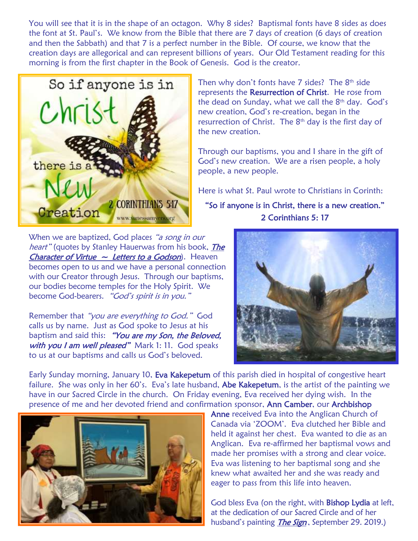You will see that it is in the shape of an octagon. Why 8 sides? Baptismal fonts have 8 sides as does the font at St. Paul's. We know from the Bible that there are 7 days of creation (6 days of creation and then the Sabbath) and that 7 is a perfect number in the Bible. Of course, we know that the creation days are allegorical and can represent billions of years. Our Old Testament reading for this morning is from the first chapter in the Book of Genesis. God is the creator.



Then why don't fonts have  $7$  sides? The  $8<sup>th</sup>$  side represents the Resurrection of Christ. He rose from the dead on Sunday, what we call the 8<sup>th</sup> day. God's new creation, God's re-creation, began in the resurrection of Christ. The 8th day is the first day of the new creation.

Through our baptisms, you and I share in the gift of God's new creation. We are a risen people, a holy people, a new people.

Here is what St. Paul wrote to Christians in Corinth:

"So if anyone is in Christ, there is a new creation." 2 Corinthians 5: 17

When we are baptized, God places "a song in our heart" (quotes by Stanley Hauerwas from his book, *The* **Character of Virtue**  $\sim$  **Letters to a Godson**). Heaven becomes open to us and we have a personal connection with our Creator through Jesus. Through our baptisms, our bodies become temples for the Holy Spirit. We become God-bearers. "God's spirit is in you."

Remember that "you are everything to God." God calls us by name. Just as God spoke to Jesus at his baptism and said this: "You are my Son, the Beloved, with you I am well pleased" Mark 1: 11. God speaks to us at our baptisms and calls us God's beloved.



Early Sunday morning, January 10, Eva Kakepetum of this parish died in hospital of congestive heart failure. She was only in her 60's. Eva's late husband, Abe Kakepetum, is the artist of the painting we have in our Sacred Circle in the church. On Friday evening, Eva received her dying wish. In the presence of me and her devoted friend and confirmation sponsor, Ann Camber, our Archbishop



Anne received Eva into the Anglican Church of Canada via 'ZOOM'. Eva clutched her Bible and held it against her chest. Eva wanted to die as an Anglican. Eva re-affirmed her baptismal vows and made her promises with a strong and clear voice. Eva was listening to her baptismal song and she knew what awaited her and she was ready and eager to pass from this life into heaven.

God bless Eva (on the right, with **Bishop Lydia** at left, at the dedication of our Sacred Circle and of her husband's painting *The Sign*, September 29. 2019.)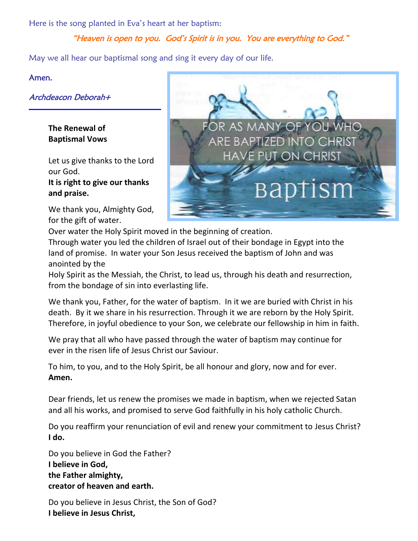Here is the song planted in Eva's heart at her baptism: Ì

# "Heaven is open to you. God's Spirit is in you. You are everything to God."

May we all hear our baptismal song and sing it every day of our life.

### Amen.

Archdeacon Deborah+

**The Renewal of Baptismal Vows** 

Let us give thanks to the Lord our God. **It is right to give our thanks and praise.** 

We thank you, Almighty God, for the gift of water.



Over water the Holy Spirit moved in the beginning of creation. Through water you led the children of Israel out of their bondage in Egypt into the land of promise. In water your Son Jesus received the baptism of John and was anointed by the

Holy Spirit as the Messiah, the Christ, to lead us, through his death and resurrection, from the bondage of sin into everlasting life.

We thank you, Father, for the water of baptism. In it we are buried with Christ in his death. By it we share in his resurrection. Through it we are reborn by the Holy Spirit. Therefore, in joyful obedience to your Son, we celebrate our fellowship in him in faith.

We pray that all who have passed through the water of baptism may continue for ever in the risen life of Jesus Christ our Saviour.

To him, to you, and to the Holy Spirit, be all honour and glory, now and for ever. **Amen.** 

Dear friends, let us renew the promises we made in baptism, when we rejected Satan and all his works, and promised to serve God faithfully in his holy catholic Church.

Do you reaffirm your renunciation of evil and renew your commitment to Jesus Christ? **I do.**

Do you believe in God the Father? **I believe in God, the Father almighty, creator of heaven and earth.** 

Do you believe in Jesus Christ, the Son of God? **I believe in Jesus Christ,**